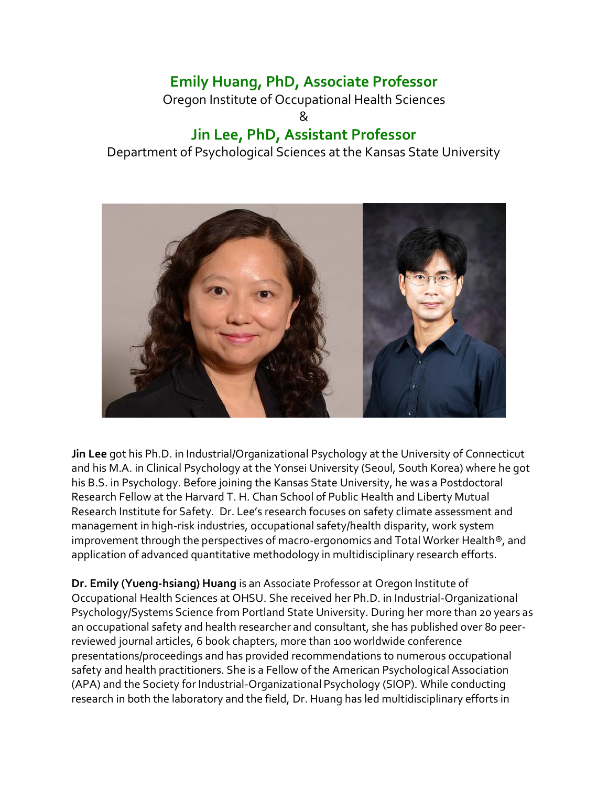## **Emily Huang, PhD, Associate Professor**

Oregon Institute of Occupational Health Sciences &

## **Jin Lee, PhD, Assistant Professor**

Department of Psychological Sciences at the Kansas State University



**Jin Lee** got his Ph.D. in Industrial/Organizational Psychology at the University of Connecticut and his M.A. in Clinical Psychology at the Yonsei University (Seoul, South Korea) where he got his B.S. in Psychology. Before joining the Kansas State University, he was a Postdoctoral Research Fellow at the Harvard T. H. Chan School of Public Health and Liberty Mutual Research Institute for Safety. Dr. Lee's research focuses on safety climate assessment and management in high-risk industries, occupational safety/health disparity, work system improvement through the perspectives of macro-ergonomics and Total Worker Health®, and application of advanced quantitative methodology in multidisciplinary research efforts.

**Dr. Emily (Yueng-hsiang) Huang** is an Associate Professor at Oregon Institute of Occupational Health Sciences at OHSU. She received her Ph.D. in Industrial-Organizational Psychology/Systems Science from Portland State University. During her more than 20 years as an occupational safety and health researcher and consultant, she has published over 80 peerreviewed journal articles, 6 book chapters, more than 100 worldwide conference presentations/proceedings and has provided recommendations to numerous occupational safety and health practitioners. She is a Fellow of the American Psychological Association (APA) and the Society for Industrial-Organizational Psychology (SIOP). While conducting research in both the laboratory and the field, Dr. Huang has led multidisciplinary efforts in